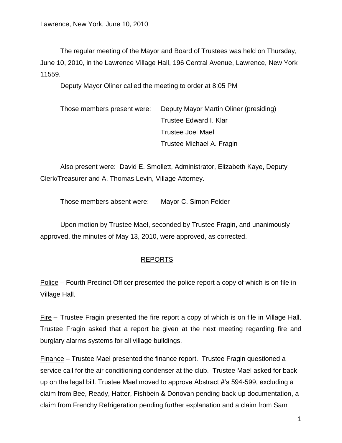The regular meeting of the Mayor and Board of Trustees was held on Thursday, June 10, 2010, in the Lawrence Village Hall, 196 Central Avenue, Lawrence, New York 11559.

Deputy Mayor Oliner called the meeting to order at 8:05 PM

| Those members present were: | Deputy Mayor Martin Oliner (presiding) |
|-----------------------------|----------------------------------------|
|                             | Trustee Edward I. Klar                 |
|                             | <b>Trustee Joel Mael</b>               |
|                             | Trustee Michael A. Fragin              |

Also present were: David E. Smollett, Administrator, Elizabeth Kaye, Deputy Clerk/Treasurer and A. Thomas Levin, Village Attorney.

Those members absent were: Mayor C. Simon Felder

Upon motion by Trustee Mael, seconded by Trustee Fragin, and unanimously approved, the minutes of May 13, 2010, were approved, as corrected.

## REPORTS

Police – Fourth Precinct Officer presented the police report a copy of which is on file in Village Hall.

Fire – Trustee Fragin presented the fire report a copy of which is on file in Village Hall. Trustee Fragin asked that a report be given at the next meeting regarding fire and burglary alarms systems for all village buildings.

Finance – Trustee Mael presented the finance report. Trustee Fragin questioned a service call for the air conditioning condenser at the club. Trustee Mael asked for backup on the legal bill. Trustee Mael moved to approve Abstract #'s 594-599, excluding a claim from Bee, Ready, Hatter, Fishbein & Donovan pending back-up documentation, a claim from Frenchy Refrigeration pending further explanation and a claim from Sam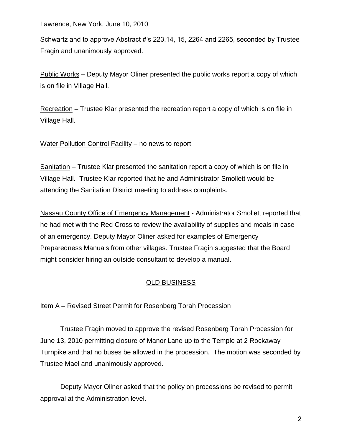Schwartz and to approve Abstract #'s 223,14, 15, 2264 and 2265, seconded by Trustee Fragin and unanimously approved.

Public Works – Deputy Mayor Oliner presented the public works report a copy of which is on file in Village Hall.

Recreation – Trustee Klar presented the recreation report a copy of which is on file in Village Hall.

Water Pollution Control Facility – no news to report

Sanitation – Trustee Klar presented the sanitation report a copy of which is on file in Village Hall. Trustee Klar reported that he and Administrator Smollett would be attending the Sanitation District meeting to address complaints.

Nassau County Office of Emergency Management - Administrator Smollett reported that he had met with the Red Cross to review the availability of supplies and meals in case of an emergency. Deputy Mayor Oliner asked for examples of Emergency Preparedness Manuals from other villages. Trustee Fragin suggested that the Board might consider hiring an outside consultant to develop a manual.

## OLD BUSINESS

Item A – Revised Street Permit for Rosenberg Torah Procession

Trustee Fragin moved to approve the revised Rosenberg Torah Procession for June 13, 2010 permitting closure of Manor Lane up to the Temple at 2 Rockaway Turnpike and that no buses be allowed in the procession. The motion was seconded by Trustee Mael and unanimously approved.

Deputy Mayor Oliner asked that the policy on processions be revised to permit approval at the Administration level.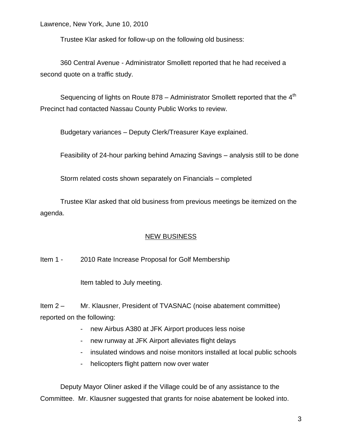Trustee Klar asked for follow-up on the following old business:

360 Central Avenue - Administrator Smollett reported that he had received a second quote on a traffic study.

Sequencing of lights on Route 878 – Administrator Smollett reported that the  $4<sup>th</sup>$ Precinct had contacted Nassau County Public Works to review.

Budgetary variances – Deputy Clerk/Treasurer Kaye explained.

Feasibility of 24-hour parking behind Amazing Savings – analysis still to be done

Storm related costs shown separately on Financials – completed

Trustee Klar asked that old business from previous meetings be itemized on the agenda.

## NEW BUSINESS

Item 1 - 2010 Rate Increase Proposal for Golf Membership

Item tabled to July meeting.

Item 2 – Mr. Klausner, President of TVASNAC (noise abatement committee) reported on the following:

- new Airbus A380 at JFK Airport produces less noise
- new runway at JFK Airport alleviates flight delays
- insulated windows and noise monitors installed at local public schools
- helicopters flight pattern now over water

Deputy Mayor Oliner asked if the Village could be of any assistance to the Committee. Mr. Klausner suggested that grants for noise abatement be looked into.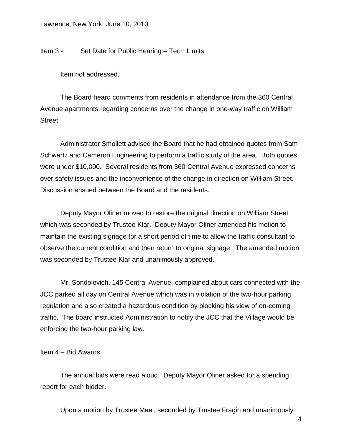Item 3 - Set Date for Public Hearing – Term Limits

Item not addressed.

The Board heard comments from residents in attendance from the 360 Central Avenue apartments regarding concerns over the change in one-way traffic on William Street.

Administrator Smollett advised the Board that he had obtained quotes from Sam Schwartz and Cameron Engineering to perform a traffic study of the area. Both quotes were under \$10,000. Several residents from 360 Central Avenue expressed concerns over safety issues and the inconvenience of the change in direction on William Street. Discussion ensued between the Board and the residents.

Deputy Mayor Oliner moved to restore the original direction on William Street which was seconded by Trustee Klar. Deputy Mayor Oliner amended his motion to maintain the existing signage for a short period of time to allow the traffic consultant to observe the current condition and then return to original signage. The amended motion was seconded by Trustee Klar and unanimously approved.

Mr. Sondolovich, 145 Central Avenue, complained about cars connected with the JCC parked all day on Central Avenue which was in violation of the two-hour parking regulation and also created a hazardous condition by blocking his view of on-coming traffic. The board instructed Administration to notify the JCC that the Village would be enforcing the two-hour parking law.

Item 4 – Bid Awards

The annual bids were read aloud. Deputy Mayor Oliner asked for a spending report for each bidder.

Upon a motion by Trustee Mael, seconded by Trustee Fragin and unanimously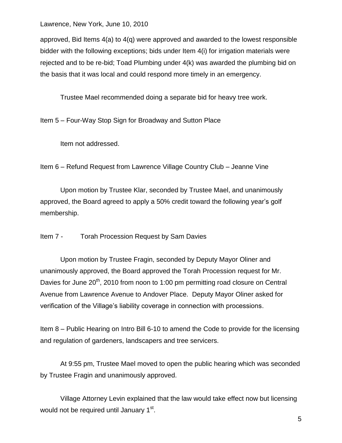approved, Bid Items  $4(a)$  to  $4(q)$  were approved and awarded to the lowest responsible bidder with the following exceptions; bids under Item 4(i) for irrigation materials were rejected and to be re-bid; Toad Plumbing under 4(k) was awarded the plumbing bid on the basis that it was local and could respond more timely in an emergency.

Trustee Mael recommended doing a separate bid for heavy tree work.

Item 5 – Four-Way Stop Sign for Broadway and Sutton Place

Item not addressed.

Item 6 – Refund Request from Lawrence Village Country Club – Jeanne Vine

Upon motion by Trustee Klar, seconded by Trustee Mael, and unanimously approved, the Board agreed to apply a 50% credit toward the following year's golf membership.

Item 7 - Torah Procession Request by Sam Davies

Upon motion by Trustee Fragin, seconded by Deputy Mayor Oliner and unanimously approved, the Board approved the Torah Procession request for Mr. Davies for June 20<sup>th</sup>, 2010 from noon to 1:00 pm permitting road closure on Central Avenue from Lawrence Avenue to Andover Place. Deputy Mayor Oliner asked for verification of the Village's liability coverage in connection with processions.

Item 8 – Public Hearing on Intro Bill 6-10 to amend the Code to provide for the licensing and regulation of gardeners, landscapers and tree servicers.

At 9:55 pm, Trustee Mael moved to open the public hearing which was seconded by Trustee Fragin and unanimously approved.

Village Attorney Levin explained that the law would take effect now but licensing would not be required until January 1<sup>st</sup>.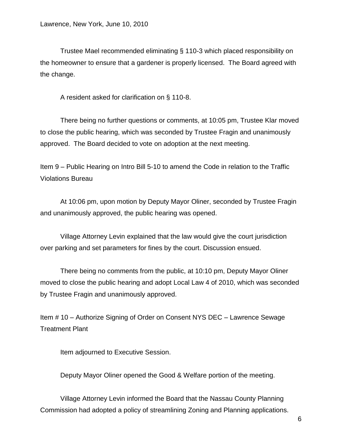Trustee Mael recommended eliminating § 110-3 which placed responsibility on the homeowner to ensure that a gardener is properly licensed. The Board agreed with the change.

A resident asked for clarification on § 110-8.

There being no further questions or comments, at 10:05 pm, Trustee Klar moved to close the public hearing, which was seconded by Trustee Fragin and unanimously approved. The Board decided to vote on adoption at the next meeting.

Item 9 – Public Hearing on Intro Bill 5-10 to amend the Code in relation to the Traffic Violations Bureau

At 10:06 pm, upon motion by Deputy Mayor Oliner, seconded by Trustee Fragin and unanimously approved, the public hearing was opened.

Village Attorney Levin explained that the law would give the court jurisdiction over parking and set parameters for fines by the court. Discussion ensued.

There being no comments from the public, at 10:10 pm, Deputy Mayor Oliner moved to close the public hearing and adopt Local Law 4 of 2010, which was seconded by Trustee Fragin and unanimously approved.

Item # 10 – Authorize Signing of Order on Consent NYS DEC – Lawrence Sewage Treatment Plant

Item adjourned to Executive Session.

Deputy Mayor Oliner opened the Good & Welfare portion of the meeting.

Village Attorney Levin informed the Board that the Nassau County Planning Commission had adopted a policy of streamlining Zoning and Planning applications.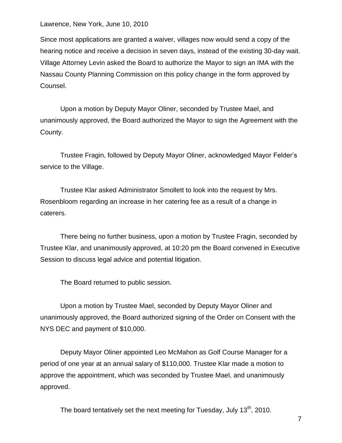Since most applications are granted a waiver, villages now would send a copy of the hearing notice and receive a decision in seven days, instead of the existing 30-day wait. Village Attorney Levin asked the Board to authorize the Mayor to sign an IMA with the Nassau County Planning Commission on this policy change in the form approved by Counsel.

Upon a motion by Deputy Mayor Oliner, seconded by Trustee Mael, and unanimously approved, the Board authorized the Mayor to sign the Agreement with the County.

Trustee Fragin, followed by Deputy Mayor Oliner, acknowledged Mayor Felder's service to the Village.

Trustee Klar asked Administrator Smollett to look into the request by Mrs. Rosenbloom regarding an increase in her catering fee as a result of a change in caterers.

There being no further business, upon a motion by Trustee Fragin, seconded by Trustee Klar, and unanimously approved, at 10:20 pm the Board convened in Executive Session to discuss legal advice and potential litigation.

The Board returned to public session.

Upon a motion by Trustee Mael, seconded by Deputy Mayor Oliner and unanimously approved, the Board authorized signing of the Order on Consent with the NYS DEC and payment of \$10,000.

Deputy Mayor Oliner appointed Leo McMahon as Golf Course Manager for a period of one year at an annual salary of \$110,000. Trustee Klar made a motion to approve the appointment, which was seconded by Trustee Mael, and unanimously approved.

The board tentatively set the next meeting for Tuesday, July  $13<sup>th</sup>$ , 2010.